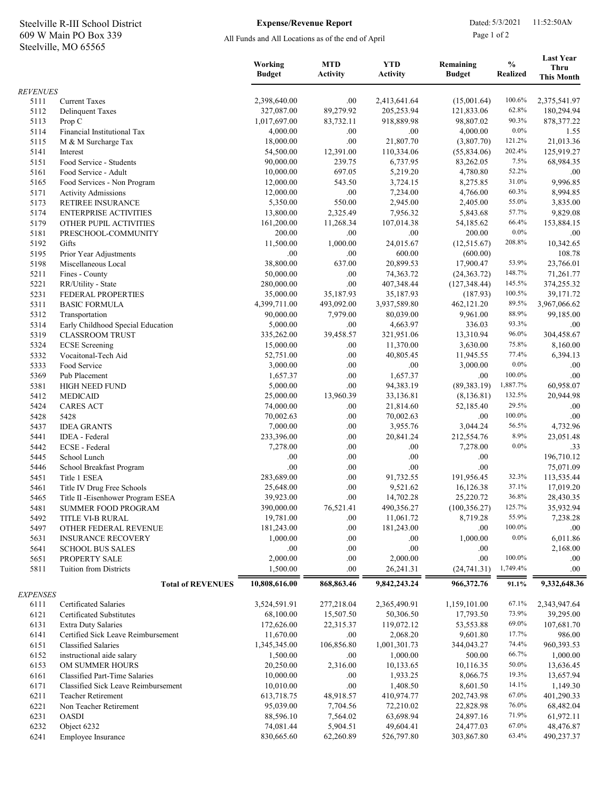## Steelville, MO 65565 609 W Main PO Box 339 Steelville R-III School District Expense/Revenue Report Dated: 5/3/2021 11:52:50AM

## Expense/Revenue Report

All Funds and All Locations as of the end of April

Page 1 of 2

|                         |                                              | Working<br><b>Budget</b> | <b>MTD</b><br><b>Activity</b> | <b>YTD</b><br><b>Activity</b> | Remaining<br><b>Budget</b> | $\frac{0}{0}$<br><b>Realized</b> | <b>Last Year</b><br><b>Thru</b><br><b>This Month</b> |
|-------------------------|----------------------------------------------|--------------------------|-------------------------------|-------------------------------|----------------------------|----------------------------------|------------------------------------------------------|
| <b>REVENUES</b>         |                                              |                          |                               |                               |                            |                                  |                                                      |
| 5111                    | <b>Current Taxes</b>                         | 2,398,640.00             | .00                           | 2,413,641.64                  | (15,001.64)                | 100.6%                           | 2,375,541.97                                         |
| 5112                    | <b>Delinquent Taxes</b>                      | 327,087.00               | 89,279.92                     | 205,253.94                    | 121,833.06                 | 62.8%                            | 180,294.94                                           |
| 5113                    | Prop C                                       | 1,017,697.00             | 83,732.11                     | 918,889.98                    | 98,807.02                  | 90.3%                            | 878, 377. 22                                         |
| 5114                    | Financial Institutional Tax                  | 4,000.00<br>18,000.00    | .00.<br>.00                   | .00.<br>21,807.70             | 4,000.00                   | $0.0\%$<br>121.2%                | 1.55<br>21,013.36                                    |
| 5115<br>5141            | M & M Surcharge Tax<br>Interest              | 54,500.00                | 12,391.00                     | 110,334.06                    | (3,807.70)<br>(55,834.06)  | 202.4%                           | 125,919.27                                           |
| 5151                    | Food Service - Students                      | 90,000.00                | 239.75                        | 6,737.95                      | 83,262.05                  | 7.5%                             | 68,984.35                                            |
| 5161                    | Food Service - Adult                         | 10,000.00                | 697.05                        | 5,219.20                      | 4,780.80                   | 52.2%                            | .00.                                                 |
| 5165                    | Food Services - Non Program                  | 12,000.00                | 543.50                        | 3,724.15                      | 8,275.85                   | 31.0%                            | 9,996.85                                             |
| 5171                    | <b>Activity Admissions</b>                   | 12,000.00                | $.00\,$                       | 7,234.00                      | 4,766.00                   | 60.3%                            | 8,994.85                                             |
| 5173                    | RETIREE INSURANCE                            | 5,350.00                 | 550.00                        | 2,945.00                      | 2,405.00                   | 55.0%                            | 3,835.00                                             |
| 5174                    | <b>ENTERPRISE ACTIVITIES</b>                 | 13,800.00                | 2,325.49                      | 7,956.32                      | 5,843.68                   | 57.7%                            | 9,829.08                                             |
| 5179<br>5181            | OTHER PUPIL ACTIVITIES                       | 161,200.00<br>200.00     | 11,268.34<br>.00              | 107,014.38<br>.00             | 54,185.62<br>200.00        | 66.4%<br>$0.0\%$                 | 153,884.15<br>.00.                                   |
| 5192                    | PRESCHOOL-COMMUNITY<br>Gifts                 | 11,500.00                | 1,000.00                      | 24,015.67                     | (12,515.67)                | 208.8%                           | 10,342.65                                            |
| 5195                    | Prior Year Adjustments                       | .00.                     | .00                           | 600.00                        | (600.00)                   |                                  | 108.78                                               |
| 5198                    | Miscellaneous Local                          | 38,800.00                | 637.00                        | 20,899.53                     | 17,900.47                  | 53.9%                            | 23,766.01                                            |
| 5211                    | Fines - County                               | 50,000.00                | .00.                          | 74,363.72                     | (24, 363.72)               | 148.7%                           | 71,261.77                                            |
| 5221                    | RR/Utility - State                           | 280,000.00               | .00.                          | 407,348.44                    | (127, 348.44)              | 145.5%                           | 374,255.32                                           |
| 5231                    | <b>FEDERAL PROPERTIES</b>                    | 35,000.00                | 35,187.93                     | 35,187.93                     | (187.93)                   | 100.5%                           | 39,171.72                                            |
| 5311                    | <b>BASIC FORMULA</b>                         | 4,399,711.00             | 493,092.00                    | 3,937,589.80                  | 462,121.20                 | 89.5%                            | 3,967,066.62                                         |
| 5312                    | Transportation                               | 90,000.00                | 7,979.00                      | 80,039.00                     | 9,961.00                   | 88.9%                            | 99,185.00                                            |
| 5314                    | Early Childhood Special Education            | 5,000.00                 | .00                           | 4,663.97                      | 336.03                     | 93.3%                            | .00                                                  |
| 5319                    | <b>CLASSROOM TRUST</b>                       | 335,262.00               | 39,458.57                     | 321,951.06                    | 13,310.94                  | 96.0%<br>75.8%                   | 304,458.67                                           |
| 5324<br>5332            | <b>ECSE</b> Screening<br>Vocaitonal-Tech Aid | 15,000.00<br>52,751.00   | .00.<br>.00.                  | 11,370.00<br>40,805.45        | 3,630.00<br>11,945.55      | 77.4%                            | 8,160.00<br>6,394.13                                 |
| 5333                    | Food Service                                 | 3,000.00                 | .00.                          | .00                           | 3,000.00                   | $0.0\%$                          | .00.                                                 |
| 5369                    | Pub Placement                                | 1,657.37                 | .00.                          | 1,657.37                      | .00                        | 100.0%                           | .00.                                                 |
| 5381                    | <b>HIGH NEED FUND</b>                        | 5,000.00                 | .00.                          | 94,383.19                     | (89, 383.19)               | 1,887.7%                         | 60,958.07                                            |
| 5412                    | <b>MEDICAID</b>                              | 25,000.00                | 13,960.39                     | 33,136.81                     | (8, 136.81)                | 132.5%                           | 20,944.98                                            |
| 5424                    | <b>CARES ACT</b>                             | 74,000.00                | .00.                          | 21,814.60                     | 52,185.40                  | 29.5%                            | .00.                                                 |
| 5428                    | 5428                                         | 70,002.63                | .00.                          | 70,002.63                     | .00.                       | 100.0%                           | .00                                                  |
| 5437                    | <b>IDEA GRANTS</b>                           | 7,000.00                 | .00.                          | 3,955.76                      | 3,044.24                   | 56.5%                            | 4,732.96                                             |
| 5441                    | IDEA - Federal                               | 233,396.00               | .00.                          | 20,841.24                     | 212,554.76                 | 8.9%                             | 23,051.48                                            |
| 5442                    | ECSE - Federal                               | 7,278.00                 | .00.<br>.00.                  | .00<br>.00                    | 7,278.00                   | $0.0\%$                          | .33<br>196,710.12                                    |
| 5445<br>5446            | School Lunch<br>School Breakfast Program     | .00<br>$.00\,$           | .00.                          | .00                           | .00.<br>.00                |                                  | 75,071.09                                            |
| 5451                    | Title 1 ESEA                                 | 283,689.00               | .00.                          | 91,732.55                     | 191,956.45                 | 32.3%                            | 113,535.44                                           |
| 5461                    | Title IV Drug Free Schools                   | 25,648.00                | .00                           | 9,521.62                      | 16,126.38                  | 37.1%                            | 17,019.20                                            |
| 5465                    | Title II - Eisenhower Program ESEA           | 39,923.00                | .00                           | 14,702.28                     | 25,220.72                  | 36.8%                            | 28,430.35                                            |
| 5481                    | SUMMER FOOD PROGRAM                          | 390,000.00               | 76,521.41                     | 490,356.27                    | (100, 356.27)              | 125.7%                           | 35,932.94                                            |
| 5492                    | TITLE VI-B RURAL                             | 19,781.00                | .00.                          | 11,061.72                     | 8,719.28                   | 55.9%                            | 7,238.28                                             |
| 5497                    | OTHER FEDERAL REVENUE                        | 181,243.00               | .00.                          | 181,243.00                    | .00.                       | 100.0%                           | .00.                                                 |
| 5631                    | <b>INSURANCE RECOVERY</b>                    | 1,000.00                 | .00.                          | .00                           | 1,000.00                   | $0.0\%$                          | 6,011.86                                             |
| 5641                    | <b>SCHOOL BUS SALES</b>                      | .00                      | .00.                          | .00                           | .00.                       | 100.0%                           | 2,168.00                                             |
| 5651<br>5811            | PROPERTY SALE<br>Tuition from Districts      | 2,000.00<br>1,500.00     | .00.<br>.00.                  | 2,000.00<br>26,241.31         | .00<br>(24,741.31)         | 1,749.4%                         | .00.<br>.00.                                         |
|                         |                                              |                          |                               |                               |                            |                                  |                                                      |
|                         | <b>Total of REVENUES</b>                     | 10,808,616.00            | 868, 863. 46                  | 9,842,243.24                  | 966,372.76                 | 91.1%                            | 9,332,648.36                                         |
| <b>EXPENSES</b><br>6111 | Certificated Salaries                        | 3,524,591.91             | 277,218.04                    | 2,365,490.91                  | 1,159,101.00               | 67.1%                            | 2,343,947.64                                         |
| 6121                    | Certificated Substitutes                     | 68,100.00                | 15,507.50                     | 50,306.50                     | 17,793.50                  | 73.9%                            | 39,295.00                                            |
| 6131                    | <b>Extra Duty Salaries</b>                   | 172,626.00               | 22,315.37                     | 119,072.12                    | 53,553.88                  | 69.0%                            | 107,681.70                                           |
| 6141                    | Certified Sick Leave Reimbursement           | 11,670.00                | .00.                          | 2,068.20                      | 9,601.80                   | 17.7%                            | 986.00                                               |
| 6151                    | <b>Classified Salaries</b>                   | 1,345,345.00             | 106,856.80                    | 1,001,301.73                  | 344,043.27                 | 74.4%                            | 960,393.53                                           |
| 6152                    | instructional aide salary                    | 1,500.00                 | .00.                          | 1,000.00                      | 500.00                     | 66.7%                            | 1,000.00                                             |
| 6153                    | OM SUMMER HOURS                              | 20,250.00                | 2,316.00                      | 10,133.65                     | 10,116.35                  | 50.0%                            | 13,636.45                                            |
| 6161                    | <b>Classified Part-Time Salaries</b>         | 10,000.00                | .00.                          | 1,933.25                      | 8,066.75                   | 19.3%                            | 13,657.94                                            |
| 6171                    | Classified Sick Leave Reimbursement          | 10,010.00                | .00                           | 1,408.50                      | 8,601.50                   | 14.1%                            | 1,149.30                                             |
| 6211                    | <b>Teacher Retirement</b>                    | 613,718.75               | 48,918.57                     | 410,974.77                    | 202,743.98                 | 67.0%                            | 401,290.33                                           |
| 6221                    | Non Teacher Retirement                       | 95,039.00                | 7,704.56                      | 72,210.02                     | 22,828.98                  | 76.0%<br>71.9%                   | 68,482.04                                            |
| 6231<br>6232            | <b>OASDI</b><br>Object 6232                  | 88,596.10<br>74,081.44   | 7,564.02<br>5,904.51          | 63,698.94<br>49,604.41        | 24,897.16<br>24,477.03     | 67.0%                            | 61,972.11<br>48,476.87                               |
| 6241                    | Employee Insurance                           | 830,665.60               | 62,260.89                     | 526,797.80                    | 303,867.80                 | 63.4%                            | 490,237.37                                           |
|                         |                                              |                          |                               |                               |                            |                                  |                                                      |